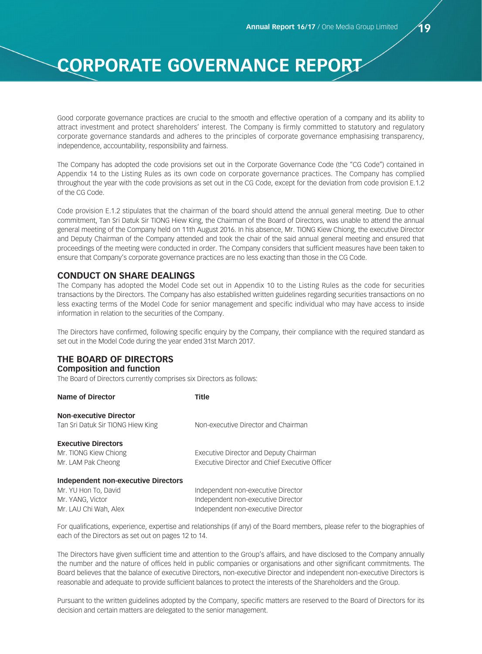Good corporate governance practices are crucial to the smooth and effective operation of a company and its ability to attract investment and protect shareholders' interest. The Company is firmly committed to statutory and regulatory corporate governance standards and adheres to the principles of corporate governance emphasising transparency, independence, accountability, responsibility and fairness.

The Company has adopted the code provisions set out in the Corporate Governance Code (the "CG Code") contained in Appendix 14 to the Listing Rules as its own code on corporate governance practices. The Company has complied throughout the year with the code provisions as set out in the CG Code, except for the deviation from code provision E.1.2 of the CG Code.

Code provision E.1.2 stipulates that the chairman of the board should attend the annual general meeting. Due to other commitment, Tan Sri Datuk Sir TIONG Hiew King, the Chairman of the Board of Directors, was unable to attend the annual general meeting of the Company held on 11th August 2016. In his absence, Mr. TIONG Kiew Chiong, the executive Director and Deputy Chairman of the Company attended and took the chair of the said annual general meeting and ensured that proceedings of the meeting were conducted in order. The Company considers that sufficient measures have been taken to ensure that Company's corporate governance practices are no less exacting than those in the CG Code.

### **CONDUCT ON SHARE DEALINGS**

The Company has adopted the Model Code set out in Appendix 10 to the Listing Rules as the code for securities transactions by the Directors. The Company has also established written guidelines regarding securities transactions on no less exacting terms of the Model Code for senior management and specific individual who may have access to inside information in relation to the securities of the Company.

The Directors have confirmed, following specific enquiry by the Company, their compliance with the required standard as set out in the Model Code during the year ended 31st March 2017.

# **THE BOARD OF DIRECTORS**

#### **Composition and function**

The Board of Directors currently comprises six Directors as follows:

| Name of Director                           | Title                                                 |
|--------------------------------------------|-------------------------------------------------------|
| <b>Non-executive Director</b>              |                                                       |
| Tan Sri Datuk Sir TIONG Hiew King          | Non-executive Director and Chairman                   |
| <b>Executive Directors</b>                 |                                                       |
| Mr. TIONG Kiew Chiong                      | Executive Director and Deputy Chairman                |
| Mr. LAM Pak Cheong                         | <b>Executive Director and Chief Executive Officer</b> |
| <b>Independent non-executive Directors</b> |                                                       |
| Mr. YU Hon To, David                       | Independent non-executive Director                    |
| Mr. YANG. Victor                           | Independent non-executive Director                    |
| Mr. LAU Chi Wah, Alex                      | Independent non-executive Director                    |
|                                            |                                                       |

For qualifications, experience, expertise and relationships (if any) of the Board members, please refer to the biographies of each of the Directors as set out on pages 12 to 14.

The Directors have given sufficient time and attention to the Group's affairs, and have disclosed to the Company annually the number and the nature of offices held in public companies or organisations and other significant commitments. The Board believes that the balance of executive Directors, non-executive Director and independent non-executive Directors is reasonable and adequate to provide sufficient balances to protect the interests of the Shareholders and the Group.

Pursuant to the written guidelines adopted by the Company, specific matters are reserved to the Board of Directors for its decision and certain matters are delegated to the senior management.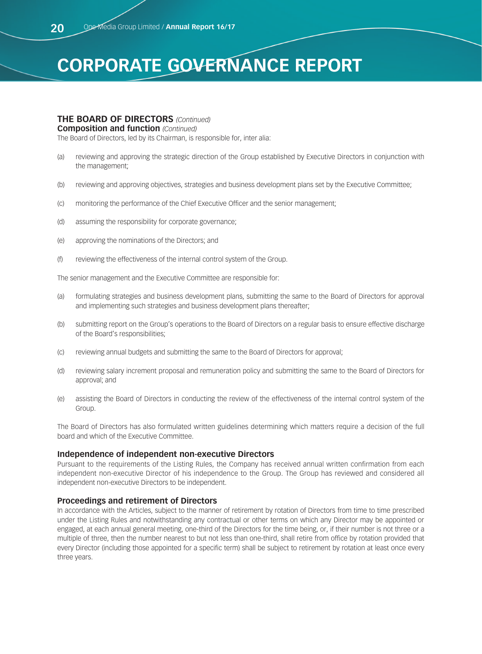### **THE BOARD OF DIRECTORS** *(Continued)*

#### **Composition and function** *(Continued)*

The Board of Directors, led by its Chairman, is responsible for, inter alia:

- (a) reviewing and approving the strategic direction of the Group established by Executive Directors in conjunction with the management;
- (b) reviewing and approving objectives, strategies and business development plans set by the Executive Committee;
- (c) monitoring the performance of the Chief Executive Officer and the senior management;
- (d) assuming the responsibility for corporate governance;
- (e) approving the nominations of the Directors; and
- (f) reviewing the effectiveness of the internal control system of the Group.

The senior management and the Executive Committee are responsible for:

- (a) formulating strategies and business development plans, submitting the same to the Board of Directors for approval and implementing such strategies and business development plans thereafter;
- (b) submitting report on the Group's operations to the Board of Directors on a regular basis to ensure effective discharge of the Board's responsibilities;
- (c) reviewing annual budgets and submitting the same to the Board of Directors for approval;
- (d) reviewing salary increment proposal and remuneration policy and submitting the same to the Board of Directors for approval; and
- (e) assisting the Board of Directors in conducting the review of the effectiveness of the internal control system of the Group.

The Board of Directors has also formulated written guidelines determining which matters require a decision of the full board and which of the Executive Committee.

#### **Independence of independent non-executive Directors**

Pursuant to the requirements of the Listing Rules, the Company has received annual written confirmation from each independent non-executive Director of his independence to the Group. The Group has reviewed and considered all independent non-executive Directors to be independent.

### **Proceedings and retirement of Directors**

In accordance with the Articles, subject to the manner of retirement by rotation of Directors from time to time prescribed under the Listing Rules and notwithstanding any contractual or other terms on which any Director may be appointed or engaged, at each annual general meeting, one-third of the Directors for the time being, or, if their number is not three or a multiple of three, then the number nearest to but not less than one-third, shall retire from office by rotation provided that every Director (including those appointed for a specific term) shall be subject to retirement by rotation at least once every three years.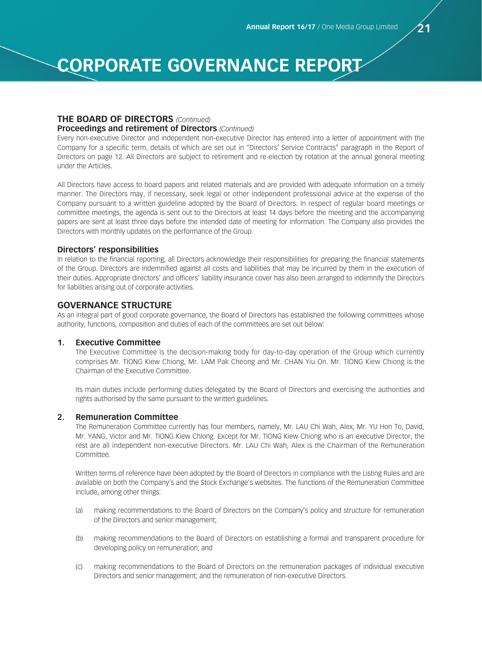# **THE BOARD OF DIRECTORS** *(Continued)*

#### **Proceedings and retirement of Directors** *(Continued)*

Every non-executive Director and independent non-executive Director has entered into a letter of appointment with the Company for a specific term, details of which are set out in "Directors' Service Contracts" paragraph in the Report of Directors on page 12. All Directors are subject to retirement and re-election by rotation at the annual general meeting under the Articles.

All Directors have access to board papers and related materials and are provided with adequate information on a timely manner. The Directors may, if necessary, seek legal or other independent professional advice at the expense of the Company pursuant to a written guideline adopted by the Board of Directors. In respect of regular board meetings or committee meetings, the agenda is sent out to the Directors at least 14 days before the meeting and the accompanying papers are sent at least three days before the intended date of meeting for information. The Company also provides the Directors with monthly updates on the performance of the Group.

#### **Directors' responsibilities**

In relation to the financial reporting, all Directors acknowledge their responsibilities for preparing the financial statements of the Group. Directors are indemnified against all costs and liabilities that may be incurred by them in the execution of their duties. Appropriate directors' and officers' liability insurance cover has also been arranged to indemnify the Directors for liabilities arising out of corporate activities.

# **GOVERNANCE STRUCTURE**

As an integral part of good corporate governance, the Board of Directors has established the following committees whose authority, functions, composition and duties of each of the committees are set out below:

#### **1. Executive Committee**

The Executive Committee is the decision-making body for day-to-day operation of the Group which currently comprises Mr. TIONG Kiew Chiong, Mr. LAM Pak Cheong and Mr. CHAN Yiu On. Mr. TIONG Kiew Chiong is the Chairman of the Executive Committee.

Its main duties include performing duties delegated by the Board of Directors and exercising the authorities and rights authorised by the same pursuant to the written guidelines.

#### **2. Remuneration Committee**

The Remuneration Committee currently has four members, namely, Mr. LAU Chi Wah, Alex, Mr. YU Hon To, David, Mr. YANG, Victor and Mr. TIONG Kiew Chiong. Except for Mr. TIONG Kiew Chiong who is an executive Director, the rest are all independent non-executive Directors. Mr. LAU Chi Wah, Alex is the Chairman of the Remuneration Committee.

Written terms of reference have been adopted by the Board of Directors in compliance with the Listing Rules and are available on both the Company's and the Stock Exchange's websites. The functions of the Remuneration Committee include, among other things:

- (a) making recommendations to the Board of Directors on the Company's policy and structure for remuneration of the Directors and senior management;
- (b) making recommendations to the Board of Directors on establishing a formal and transparent procedure for developing policy on remuneration; and
- (c) making recommendations to the Board of Directors on the remuneration packages of individual executive Directors and senior management; and the remuneration of non-executive Directors.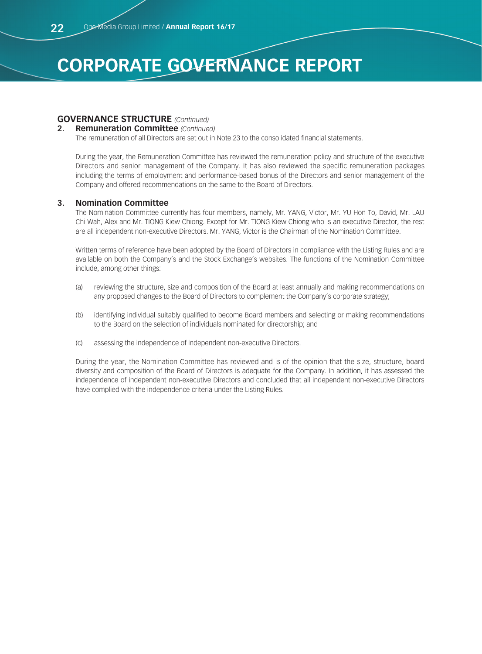# **GOVERNANCE STRUCTURE** *(Continued)*

#### **2. Remuneration Committee** *(Continued)*

The remuneration of all Directors are set out in Note 23 to the consolidated financial statements.

During the year, the Remuneration Committee has reviewed the remuneration policy and structure of the executive Directors and senior management of the Company. It has also reviewed the specific remuneration packages including the terms of employment and performance-based bonus of the Directors and senior management of the Company and offered recommendations on the same to the Board of Directors.

### **3. Nomination Committee**

The Nomination Committee currently has four members, namely, Mr. YANG, Victor, Mr. YU Hon To, David, Mr. LAU Chi Wah, Alex and Mr. TIONG Kiew Chiong. Except for Mr. TIONG Kiew Chiong who is an executive Director, the rest are all independent non-executive Directors. Mr. YANG, Victor is the Chairman of the Nomination Committee.

Written terms of reference have been adopted by the Board of Directors in compliance with the Listing Rules and are available on both the Company's and the Stock Exchange's websites. The functions of the Nomination Committee include, among other things:

- (a) reviewing the structure, size and composition of the Board at least annually and making recommendations on any proposed changes to the Board of Directors to complement the Company's corporate strategy;
- (b) identifying individual suitably qualified to become Board members and selecting or making recommendations to the Board on the selection of individuals nominated for directorship; and
- (c) assessing the independence of independent non-executive Directors.

During the year, the Nomination Committee has reviewed and is of the opinion that the size, structure, board diversity and composition of the Board of Directors is adequate for the Company. In addition, it has assessed the independence of independent non-executive Directors and concluded that all independent non-executive Directors have complied with the independence criteria under the Listing Rules.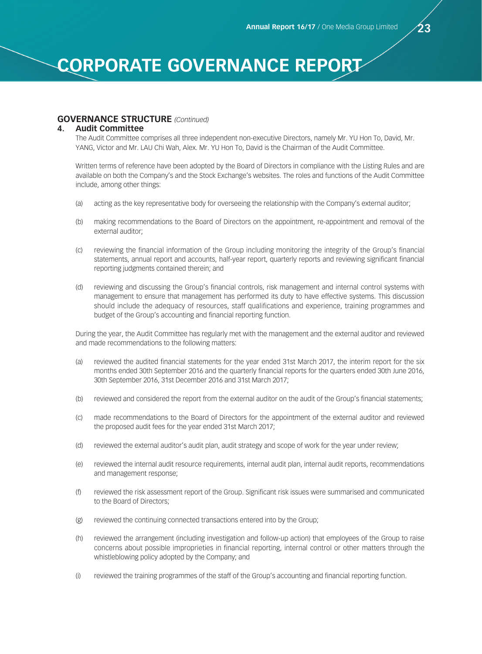#### **GOVERNANCE STRUCTURE** *(Continued)*

#### **4. Audit Committee**

The Audit Committee comprises all three independent non-executive Directors, namely Mr. YU Hon To, David, Mr. YANG, Victor and Mr. LAU Chi Wah, Alex. Mr. YU Hon To, David is the Chairman of the Audit Committee.

Written terms of reference have been adopted by the Board of Directors in compliance with the Listing Rules and are available on both the Company's and the Stock Exchange's websites. The roles and functions of the Audit Committee include, among other things:

- (a) acting as the key representative body for overseeing the relationship with the Company's external auditor;
- (b) making recommendations to the Board of Directors on the appointment, re-appointment and removal of the external auditor;
- (c) reviewing the financial information of the Group including monitoring the integrity of the Group's financial statements, annual report and accounts, half-year report, quarterly reports and reviewing significant financial reporting judgments contained therein; and
- (d) reviewing and discussing the Group's financial controls, risk management and internal control systems with management to ensure that management has performed its duty to have effective systems. This discussion should include the adequacy of resources, staff qualifications and experience, training programmes and budget of the Group's accounting and financial reporting function.

During the year, the Audit Committee has regularly met with the management and the external auditor and reviewed and made recommendations to the following matters:

- (a) reviewed the audited financial statements for the year ended 31st March 2017, the interim report for the six months ended 30th September 2016 and the quarterly financial reports for the quarters ended 30th June 2016, 30th September 2016, 31st December 2016 and 31st March 2017;
- (b) reviewed and considered the report from the external auditor on the audit of the Group's financial statements;
- (c) made recommendations to the Board of Directors for the appointment of the external auditor and reviewed the proposed audit fees for the year ended 31st March 2017;
- (d) reviewed the external auditor's audit plan, audit strategy and scope of work for the year under review;
- (e) reviewed the internal audit resource requirements, internal audit plan, internal audit reports, recommendations and management response;
- (f) reviewed the risk assessment report of the Group. Significant risk issues were summarised and communicated to the Board of Directors;
- (g) reviewed the continuing connected transactions entered into by the Group;
- (h) reviewed the arrangement (including investigation and follow-up action) that employees of the Group to raise concerns about possible improprieties in financial reporting, internal control or other matters through the whistleblowing policy adopted by the Company; and
- (i) reviewed the training programmes of the staff of the Group's accounting and financial reporting function.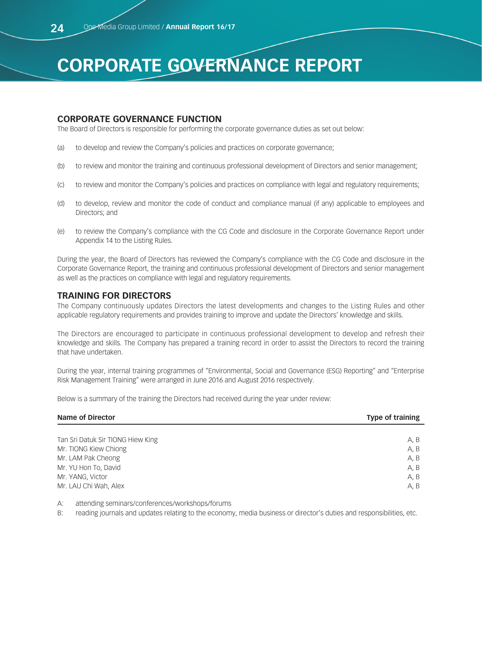# **CORPORATE GOVERNANCE FUNCTION**

The Board of Directors is responsible for performing the corporate governance duties as set out below:

- (a) to develop and review the Company's policies and practices on corporate governance;
- (b) to review and monitor the training and continuous professional development of Directors and senior management;
- (c) to review and monitor the Company's policies and practices on compliance with legal and regulatory requirements;
- (d) to develop, review and monitor the code of conduct and compliance manual (if any) applicable to employees and Directors; and
- (e) to review the Company's compliance with the CG Code and disclosure in the Corporate Governance Report under Appendix 14 to the Listing Rules.

During the year, the Board of Directors has reviewed the Company's compliance with the CG Code and disclosure in the Corporate Governance Report, the training and continuous professional development of Directors and senior management as well as the practices on compliance with legal and regulatory requirements.

#### **TRAINING FOR DIRECTORS**

The Company continuously updates Directors the latest developments and changes to the Listing Rules and other applicable regulatory requirements and provides training to improve and update the Directors' knowledge and skills.

The Directors are encouraged to participate in continuous professional development to develop and refresh their knowledge and skills. The Company has prepared a training record in order to assist the Directors to record the training that have undertaken.

During the year, internal training programmes of "Environmental, Social and Governance (ESG) Reporting" and "Enterprise Risk Management Training" were arranged in June 2016 and August 2016 respectively.

Below is a summary of the training the Directors had received during the year under review:

| <b>Name of Director</b>           | <b>Type of training</b> |  |  |
|-----------------------------------|-------------------------|--|--|
|                                   |                         |  |  |
| Tan Sri Datuk Sir TIONG Hiew King | A, B                    |  |  |
| Mr. TIONG Kiew Chiong             | A, B                    |  |  |
| Mr. LAM Pak Cheong                | A, B                    |  |  |
| Mr. YU Hon To, David              | A, B                    |  |  |
| Mr. YANG, Victor                  | A, B                    |  |  |
| Mr. LAU Chi Wah, Alex             | A, B                    |  |  |

A: attending seminars/conferences/workshops/forums

B: reading journals and updates relating to the economy, media business or director's duties and responsibilities, etc.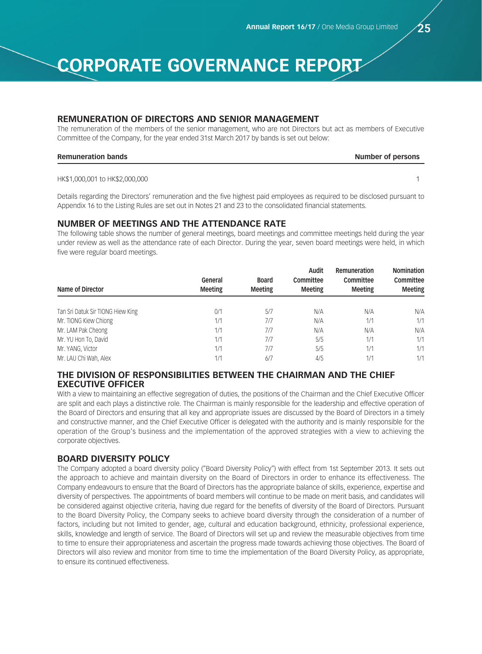### **REMUNERATION OF DIRECTORS AND SENIOR MANAGEMENT**

The remuneration of the members of the senior management, who are not Directors but act as members of Executive Committee of the Company, for the year ended 31st March 2017 by bands is set out below:

#### **Remuneration bands Number of persons**

HK\$1,000,001 to HK\$2,000,000 1

Details regarding the Directors' remuneration and the five highest paid employees as required to be disclosed pursuant to Appendix 16 to the Listing Rules are set out in Notes 21 and 23 to the consolidated financial statements.

# **NUMBER OF MEETINGS AND THE ATTENDANCE RATE**

The following table shows the number of general meetings, board meetings and committee meetings held during the year under review as well as the attendance rate of each Director. During the year, seven board meetings were held, in which five were regular board meetings.

| Name of Director                  | General<br><b>Meeting</b> | <b>Board</b><br><b>Meeting</b> | Audit<br>Committee<br><b>Meeting</b> | Remuneration<br>Committee<br><b>Meeting</b> | <b>Nomination</b><br>Committee<br><b>Meeting</b> |
|-----------------------------------|---------------------------|--------------------------------|--------------------------------------|---------------------------------------------|--------------------------------------------------|
| Tan Sri Datuk Sir TIONG Hiew King | 0/1                       | 5/7                            | N/A                                  | N/A                                         | N/A                                              |
| Mr. TIONG Kiew Chiong             | 1/1                       | 7/7                            | N/A                                  | 1/1                                         | 1/1                                              |
| Mr. LAM Pak Cheong                | 1/1                       | 7/7                            | N/A                                  | N/A                                         | N/A                                              |
| Mr. YU Hon To, David              | 1/1                       | 7/7                            | 5/5                                  | 1/1                                         | 1/1                                              |
| Mr. YANG, Victor                  | 1/1                       | 7/7                            | 5/5                                  | 1/1                                         | 1/1                                              |
| Mr. LAU Chi Wah, Alex             | 1/1                       | 6/7                            | 4/5                                  | 1/1                                         | 1/1                                              |

# **THE DIVISION OF RESPONSIBILITIES BETWEEN THE CHAIRMAN AND THE CHIEF EXECUTIVE OFFICER**

With a view to maintaining an effective segregation of duties, the positions of the Chairman and the Chief Executive Officer are split and each plays a distinctive role. The Chairman is mainly responsible for the leadership and effective operation of the Board of Directors and ensuring that all key and appropriate issues are discussed by the Board of Directors in a timely and constructive manner, and the Chief Executive Officer is delegated with the authority and is mainly responsible for the operation of the Group's business and the implementation of the approved strategies with a view to achieving the corporate objectives.

# **BOARD DIVERSITY POLICY**

The Company adopted a board diversity policy ("Board Diversity Policy") with effect from 1st September 2013. It sets out the approach to achieve and maintain diversity on the Board of Directors in order to enhance its effectiveness. The Company endeavours to ensure that the Board of Directors has the appropriate balance of skills, experience, expertise and diversity of perspectives. The appointments of board members will continue to be made on merit basis, and candidates will be considered against objective criteria, having due regard for the benefits of diversity of the Board of Directors. Pursuant to the Board Diversity Policy, the Company seeks to achieve board diversity through the consideration of a number of factors, including but not limited to gender, age, cultural and education background, ethnicity, professional experience, skills, knowledge and length of service. The Board of Directors will set up and review the measurable objectives from time to time to ensure their appropriateness and ascertain the progress made towards achieving those objectives. The Board of Directors will also review and monitor from time to time the implementation of the Board Diversity Policy, as appropriate, to ensure its continued effectiveness.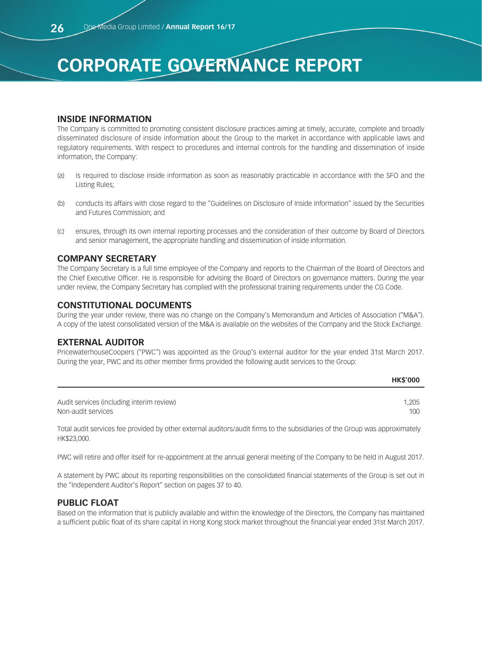# **INSIDE INFORMATION**

The Company is committed to promoting consistent disclosure practices aiming at timely, accurate, complete and broadly disseminated disclosure of inside information about the Group to the market in accordance with applicable laws and regulatory requirements. With respect to procedures and internal controls for the handling and dissemination of inside information, the Company:

- (a) is required to disclose inside information as soon as reasonably practicable in accordance with the SFO and the Listing Rules;
- (b) conducts its affairs with close regard to the "Guidelines on Disclosure of Inside Information" issued by the Securities and Futures Commission; and
- (c) ensures, through its own internal reporting processes and the consideration of their outcome by Board of Directors and senior management, the appropriate handling and dissemination of inside information.

### **COMPANY SECRETARY**

The Company Secretary is a full time employee of the Company and reports to the Chairman of the Board of Directors and the Chief Executive Officer. He is responsible for advising the Board of Directors on governance matters. During the year under review, the Company Secretary has complied with the professional training requirements under the CG Code.

# **CONSTITUTIONAL DOCUMENTS**

During the year under review, there was no change on the Company's Memorandum and Articles of Association ("M&A"). A copy of the latest consolidated version of the M&A is available on the websites of the Company and the Stock Exchange.

### **EXTERNAL AUDITOR**

PricewaterhouseCoopers ("PWC") was appointed as the Group's external auditor for the year ended 31st March 2017. During the year, PWC and its other member firms provided the following audit services to the Group:

|                                                                 | <b>HKS'000</b> |
|-----------------------------------------------------------------|----------------|
| Audit services (including interim review)<br>Non-audit services | 1.205<br>100   |
|                                                                 |                |

Total audit services fee provided by other external auditors/audit firms to the subsidiaries of the Group was approximately HK\$23,000.

PWC will retire and offer itself for re-appointment at the annual general meeting of the Company to be held in August 2017.

A statement by PWC about its reporting responsibilities on the consolidated financial statements of the Group is set out in the "Independent Auditor's Report" section on pages 37 to 40.

# **PUBLIC FLOAT**

Based on the information that is publicly available and within the knowledge of the Directors, the Company has maintained a sufficient public float of its share capital in Hong Kong stock market throughout the financial year ended 31st March 2017.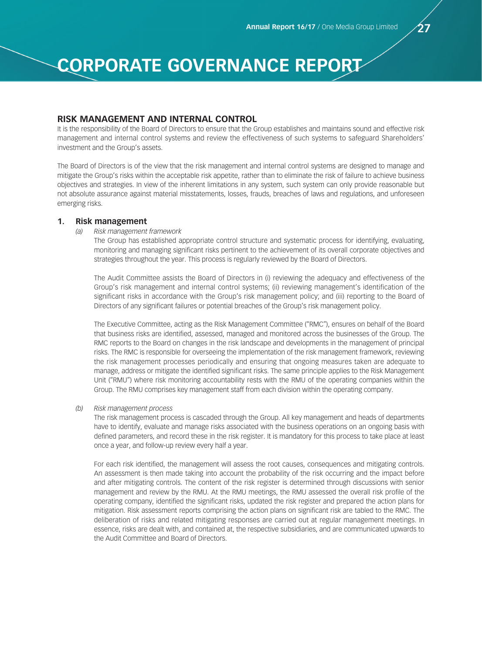#### **RISK MANAGEMENT AND INTERNAL CONTROL**

It is the responsibility of the Board of Directors to ensure that the Group establishes and maintains sound and effective risk management and internal control systems and review the effectiveness of such systems to safeguard Shareholders' investment and the Group's assets.

The Board of Directors is of the view that the risk management and internal control systems are designed to manage and mitigate the Group's risks within the acceptable risk appetite, rather than to eliminate the risk of failure to achieve business objectives and strategies. In view of the inherent limitations in any system, such system can only provide reasonable but not absolute assurance against material misstatements, losses, frauds, breaches of laws and regulations, and unforeseen emerging risks.

#### **1. Risk management**

*(a) Risk management framework*

The Group has established appropriate control structure and systematic process for identifying, evaluating, monitoring and managing significant risks pertinent to the achievement of its overall corporate objectives and strategies throughout the year. This process is regularly reviewed by the Board of Directors.

The Audit Committee assists the Board of Directors in (i) reviewing the adequacy and effectiveness of the Group's risk management and internal control systems; (ii) reviewing management's identification of the significant risks in accordance with the Group's risk management policy; and (iii) reporting to the Board of Directors of any significant failures or potential breaches of the Group's risk management policy.

The Executive Committee, acting as the Risk Management Committee ("RMC"), ensures on behalf of the Board that business risks are identified, assessed, managed and monitored across the businesses of the Group. The RMC reports to the Board on changes in the risk landscape and developments in the management of principal risks. The RMC is responsible for overseeing the implementation of the risk management framework, reviewing the risk management processes periodically and ensuring that ongoing measures taken are adequate to manage, address or mitigate the identified significant risks. The same principle applies to the Risk Management Unit ("RMU") where risk monitoring accountability rests with the RMU of the operating companies within the Group. The RMU comprises key management staff from each division within the operating company.

*(b) Risk management process*

The risk management process is cascaded through the Group. All key management and heads of departments have to identify, evaluate and manage risks associated with the business operations on an ongoing basis with defined parameters, and record these in the risk register. It is mandatory for this process to take place at least once a year, and follow-up review every half a year.

For each risk identified, the management will assess the root causes, consequences and mitigating controls. An assessment is then made taking into account the probability of the risk occurring and the impact before and after mitigating controls. The content of the risk register is determined through discussions with senior management and review by the RMU. At the RMU meetings, the RMU assessed the overall risk profile of the operating company, identified the significant risks, updated the risk register and prepared the action plans for mitigation. Risk assessment reports comprising the action plans on significant risk are tabled to the RMC. The deliberation of risks and related mitigating responses are carried out at regular management meetings. In essence, risks are dealt with, and contained at, the respective subsidiaries, and are communicated upwards to the Audit Committee and Board of Directors.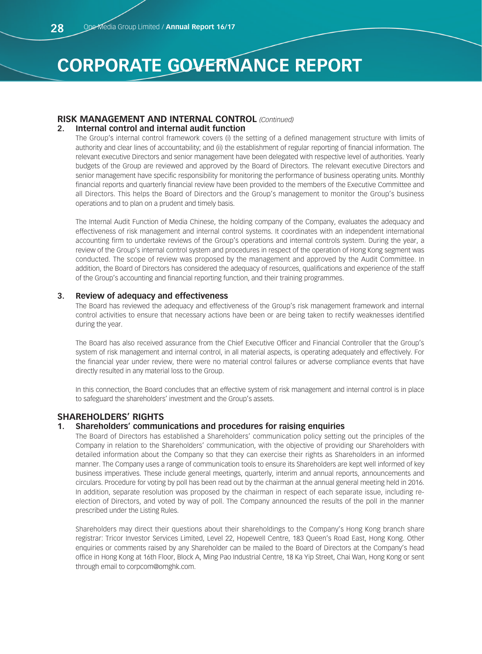# **RISK MANAGEMENT AND INTERNAL CONTROL** *(Continued)*

#### **2. Internal control and internal audit function**

The Group's internal control framework covers (i) the setting of a defined management structure with limits of authority and clear lines of accountability; and (ii) the establishment of regular reporting of financial information. The relevant executive Directors and senior management have been delegated with respective level of authorities. Yearly budgets of the Group are reviewed and approved by the Board of Directors. The relevant executive Directors and senior management have specific responsibility for monitoring the performance of business operating units. Monthly financial reports and quarterly financial review have been provided to the members of the Executive Committee and all Directors. This helps the Board of Directors and the Group's management to monitor the Group's business operations and to plan on a prudent and timely basis.

The Internal Audit Function of Media Chinese, the holding company of the Company, evaluates the adequacy and effectiveness of risk management and internal control systems. It coordinates with an independent international accounting firm to undertake reviews of the Group's operations and internal controls system. During the year, a review of the Group's internal control system and procedures in respect of the operation of Hong Kong segment was conducted. The scope of review was proposed by the management and approved by the Audit Committee. In addition, the Board of Directors has considered the adequacy of resources, qualifications and experience of the staff of the Group's accounting and financial reporting function, and their training programmes.

#### **3. Review of adequacy and effectiveness**

The Board has reviewed the adequacy and effectiveness of the Group's risk management framework and internal control activities to ensure that necessary actions have been or are being taken to rectify weaknesses identified during the year.

The Board has also received assurance from the Chief Executive Officer and Financial Controller that the Group's system of risk management and internal control, in all material aspects, is operating adequately and effectively. For the financial year under review, there were no material control failures or adverse compliance events that have directly resulted in any material loss to the Group.

In this connection, the Board concludes that an effective system of risk management and internal control is in place to safeguard the shareholders' investment and the Group's assets.

# **SHAREHOLDERS' RIGHTS**

#### **1. Shareholders' communications and procedures for raising enquiries**

The Board of Directors has established a Shareholders' communication policy setting out the principles of the Company in relation to the Shareholders' communication, with the objective of providing our Shareholders with detailed information about the Company so that they can exercise their rights as Shareholders in an informed manner. The Company uses a range of communication tools to ensure its Shareholders are kept well informed of key business imperatives. These include general meetings, quarterly, interim and annual reports, announcements and circulars. Procedure for voting by poll has been read out by the chairman at the annual general meeting held in 2016. In addition, separate resolution was proposed by the chairman in respect of each separate issue, including reelection of Directors, and voted by way of poll. The Company announced the results of the poll in the manner prescribed under the Listing Rules.

Shareholders may direct their questions about their shareholdings to the Company's Hong Kong branch share registrar: Tricor Investor Services Limited, Level 22, Hopewell Centre, 183 Queen's Road East, Hong Kong. Other enquiries or comments raised by any Shareholder can be mailed to the Board of Directors at the Company's head office in Hong Kong at 16th Floor, Block A, Ming Pao Industrial Centre, 18 Ka Yip Street, Chai Wan, Hong Kong or sent through email to corpcom@omghk.com.